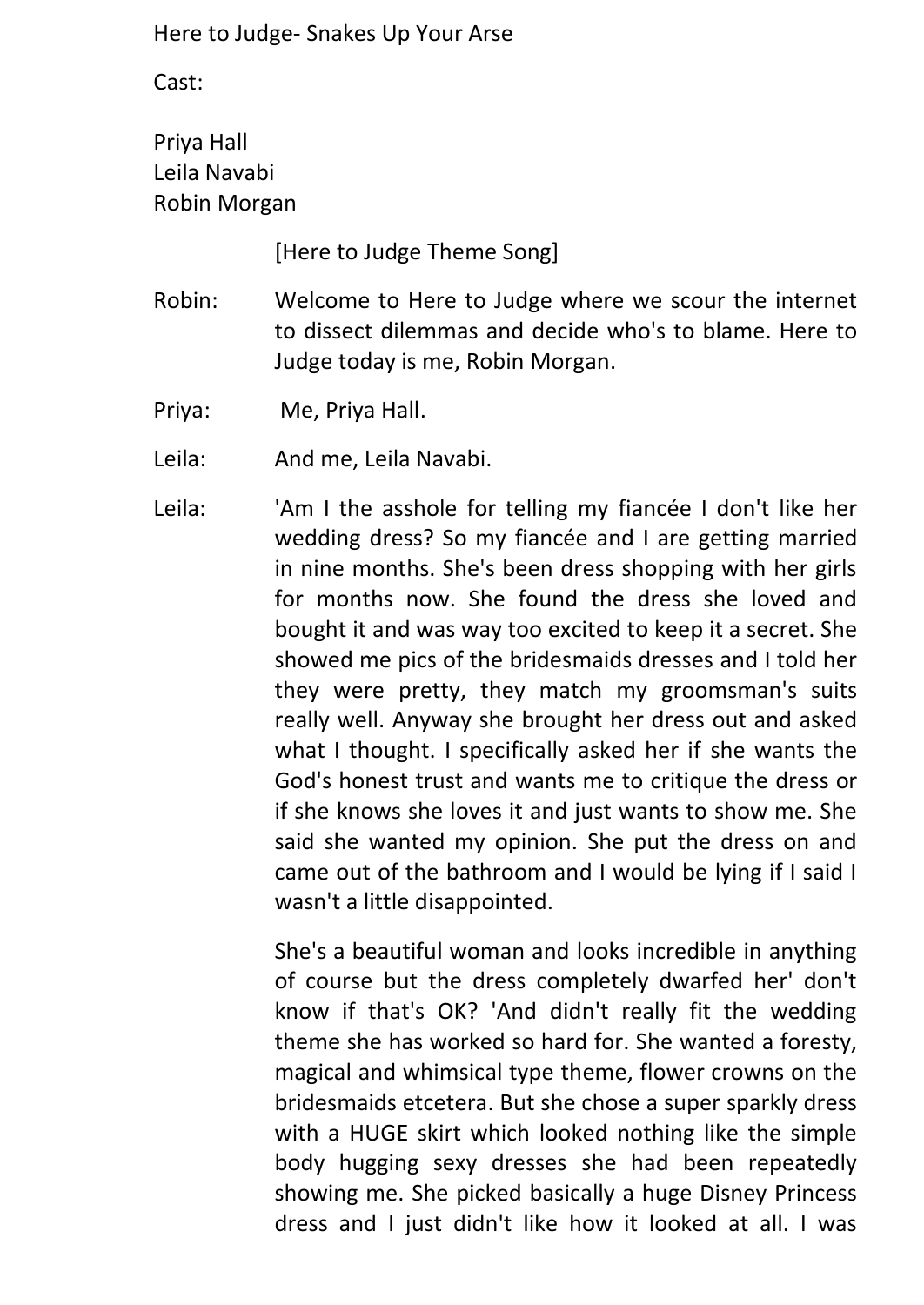Cast:

Priya Hall Leila Navabi Robin Morgan

[Here to Judge Theme Song]

- Robin: Welcome to Here to Judge where we scour the internet to dissect dilemmas and decide who's to blame. Here to Judge today is me, Robin Morgan.
- Priya: Me, Priya Hall.
- Leila: And me, Leila Navabi.
- Leila: <sup>'</sup>Am I the asshole for telling my fiancée I don't like her wedding dress? So my fiancée and I are getting married in nine months. She's been dress shopping with her girls for months now. She found the dress she loved and bought it and was way too excited to keep it a secret. She showed me pics of the bridesmaids dresses and I told her they were pretty, they match my groomsman's suits really well. Anyway she brought her dress out and asked what I thought. I specifically asked her if she wants the God's honest trust and wants me to critique the dress or if she knows she loves it and just wants to show me. She said she wanted my opinion. She put the dress on and came out of the bathroom and I would be lying if I said I wasn't a little disappointed.

She's a beautiful woman and looks incredible in anything of course but the dress completely dwarfed her' don't know if that's OK? 'And didn't really fit the wedding theme she has worked so hard for. She wanted a foresty, magical and whimsical type theme, flower crowns on the bridesmaids etcetera. But she chose a super sparkly dress with a HUGE skirt which looked nothing like the simple body hugging sexy dresses she had been repeatedly showing me. She picked basically a huge Disney Princess dress and I just didn't like how it looked at all. I was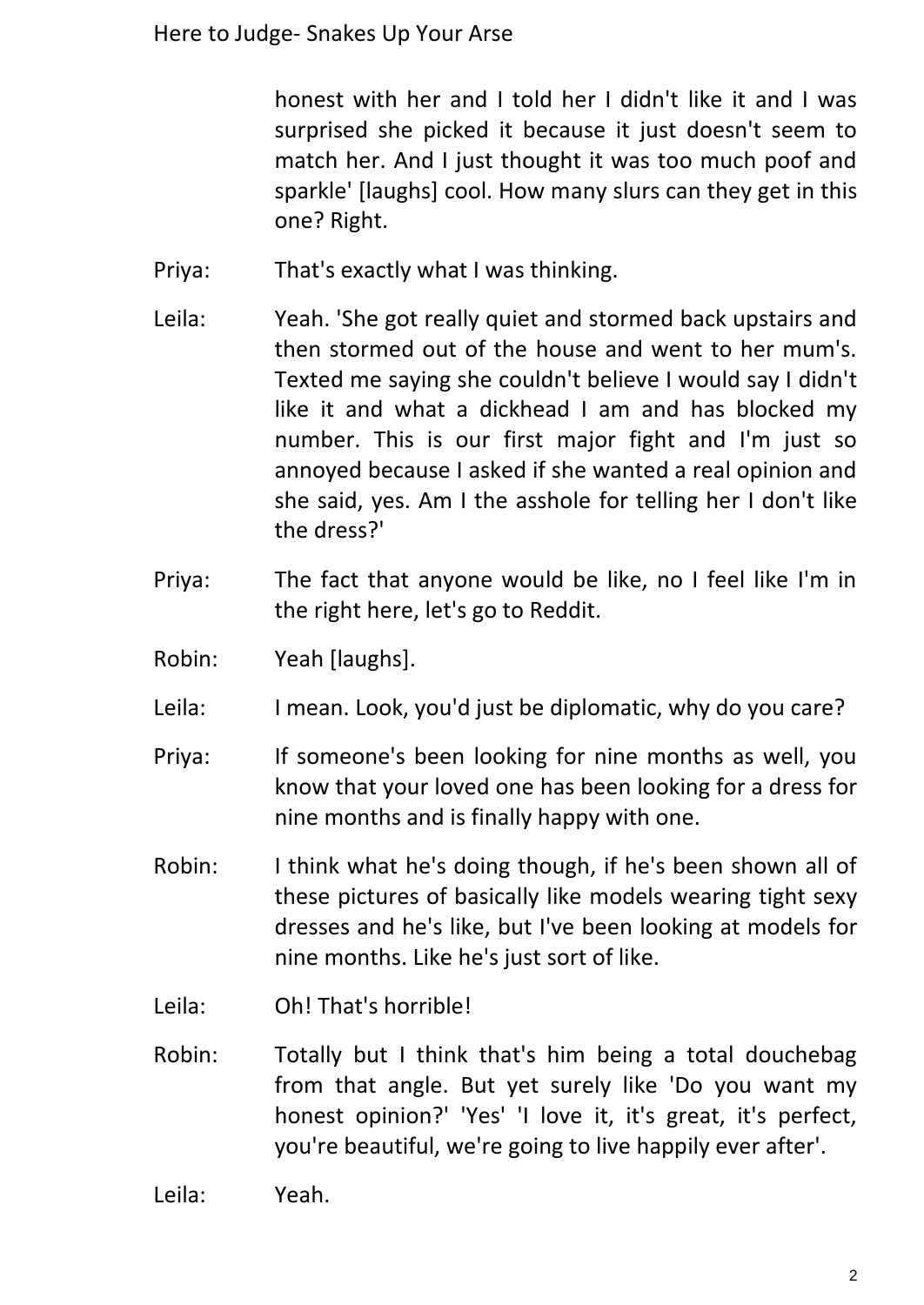honest with her and I told her I didn't like it and I was surprised she picked it because it just doesn't seem to match her. And I just thought it was too much poof and sparkle' [laughs] cool. How many slurs can they get in this one? Right.

- Priya: That's exactly what I was thinking.
- Leila: Yeah. 'She got really quiet and stormed back upstairs and then stormed out of the house and went to her mum's. Texted me saying she couldn't believe I would say I didn't like it and what a dickhead I am and has blocked my number. This is our first major fight and I'm just so annoyed because I asked if she wanted a real opinion and she said, yes. Am I the asshole for telling her I don't like the dress?'
- Priya: The fact that anyone would be like, no I feel like I'm in the right here, let's go to Reddit.
- Robin: Yeah [laughs].
- Leila: I mean. Look, you'd just be diplomatic, why do you care?
- Priya: If someone's been looking for nine months as well, you know that your loved one has been looking for a dress for nine months and is finally happy with one.
- Robin: I think what he's doing though, if he's been shown all of these pictures of basically like models wearing tight sexy dresses and he's like, but I've been looking at models for nine months. Like he's just sort of like.
- Leila: Oh! That's horrible!
- Robin: Totally but I think that's him being a total douchebag from that angle. But yet surely like 'Do you want my honest opinion?' 'Yes' 'I love it, it's great, it's perfect, you're beautiful, we're going to live happily ever after'.
- Leila: Yeah.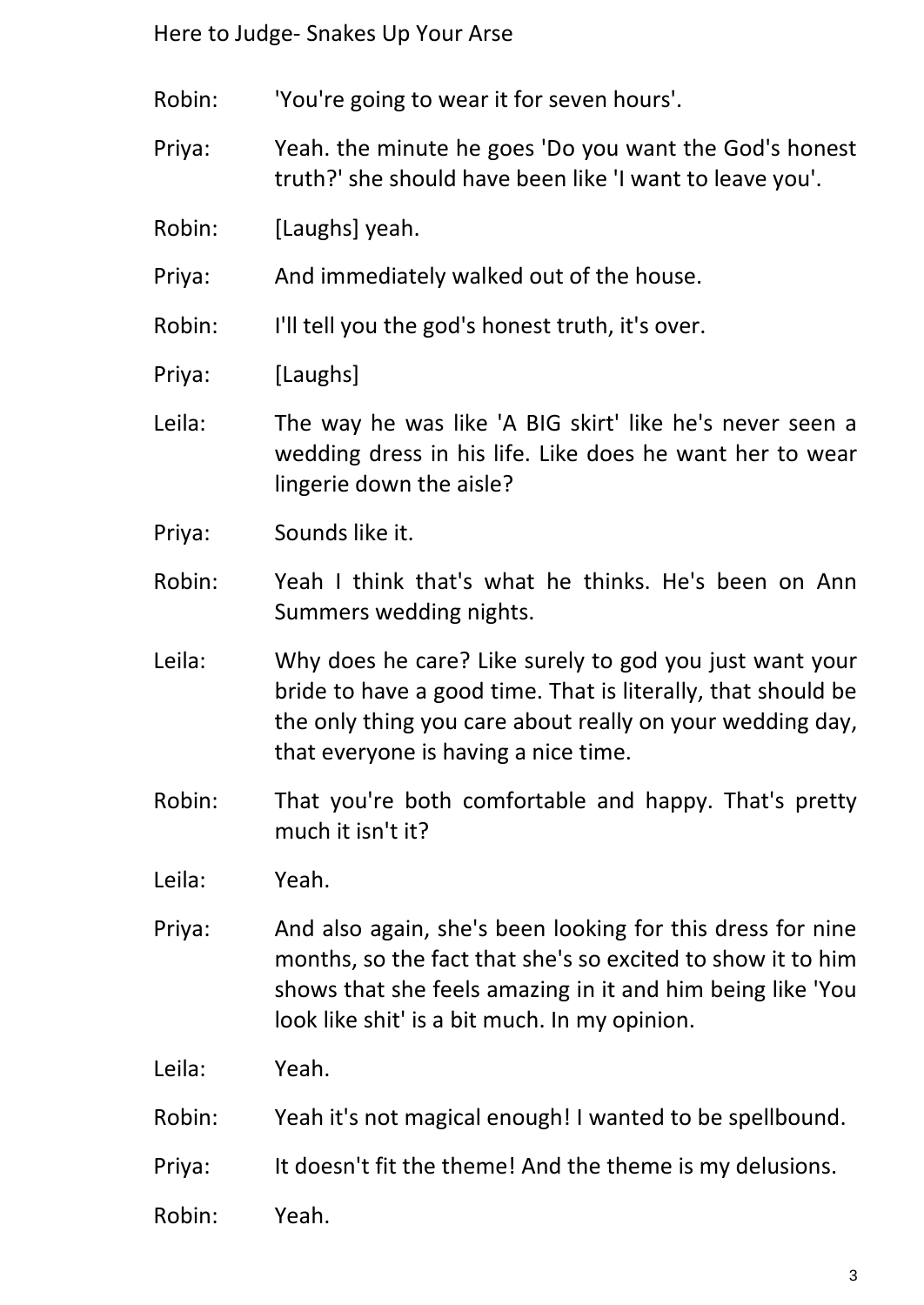Robin: 'You're going to wear it for seven hours'.

Priya: Yeah. the minute he goes 'Do you want the God's honest truth?' she should have been like 'I want to leave you'.

Robin: [Laughs] yeah.

Priya: And immediately walked out of the house.

Robin: I'll tell you the god's honest truth, it's over.

Priya: [Laughs]

- Leila: The way he was like 'A BIG skirt' like he's never seen a wedding dress in his life. Like does he want her to wear lingerie down the aisle?
- Priya: Sounds like it.
- Robin: Yeah I think that's what he thinks. He's been on Ann Summers wedding nights.
- Leila: Why does he care? Like surely to god you just want your bride to have a good time. That is literally, that should be the only thing you care about really on your wedding day, that everyone is having a nice time.
- Robin: That you're both comfortable and happy. That's pretty much it isn't it?

Leila: Yeah.

Priya: And also again, she's been looking for this dress for nine months, so the fact that she's so excited to show it to him shows that she feels amazing in it and him being like 'You look like shit' is a bit much. In my opinion.

Leila: Yeah.

- Robin: Yeah it's not magical enough! I wanted to be spellbound.
- Priya: It doesn't fit the theme! And the theme is my delusions.
- Robin: Yeah.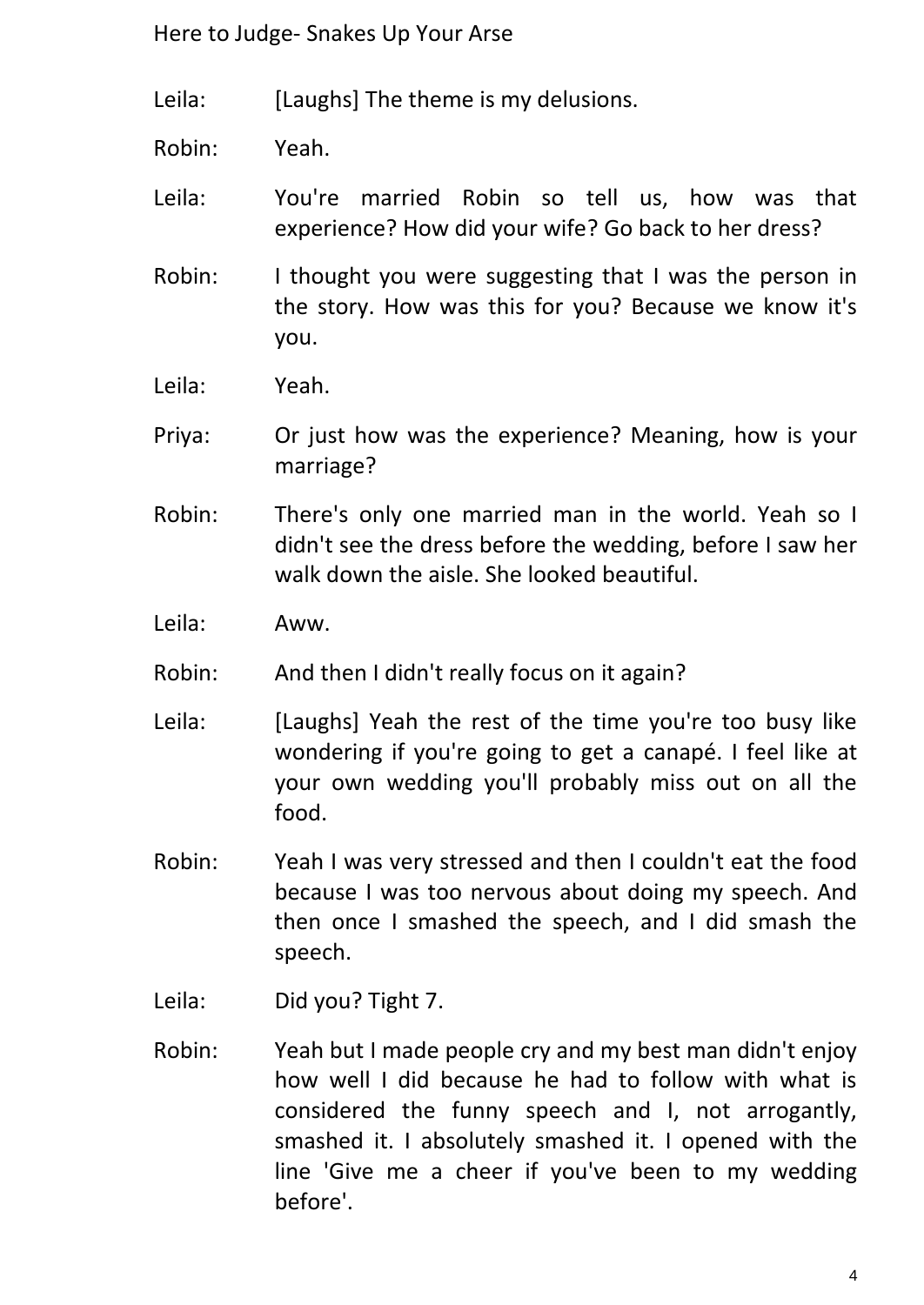Leila: [Laughs] The theme is my delusions.

Robin: Yeah.

Leila: You're married Robin so tell us, how was that experience? How did your wife? Go back to her dress?

- Robin: I thought you were suggesting that I was the person in the story. How was this for you? Because we know it's you.
- Leila: Yeah.
- Priya: Or just how was the experience? Meaning, how is your marriage?
- Robin: There's only one married man in the world. Yeah so I didn't see the dress before the wedding, before I saw her walk down the aisle. She looked beautiful.
- Leila: Aww.
- Robin: And then I didn't really focus on it again?
- Leila: [Laughs] Yeah the rest of the time you're too busy like wondering if you're going to get a canapé. I feel like at your own wedding you'll probably miss out on all the food.
- Robin: Yeah I was very stressed and then I couldn't eat the food because I was too nervous about doing my speech. And then once I smashed the speech, and I did smash the speech.
- Leila: Did you? Tight 7.
- Robin: Yeah but I made people cry and my best man didn't enjoy how well I did because he had to follow with what is considered the funny speech and I, not arrogantly, smashed it. I absolutely smashed it. I opened with the line 'Give me a cheer if you've been to my wedding before'.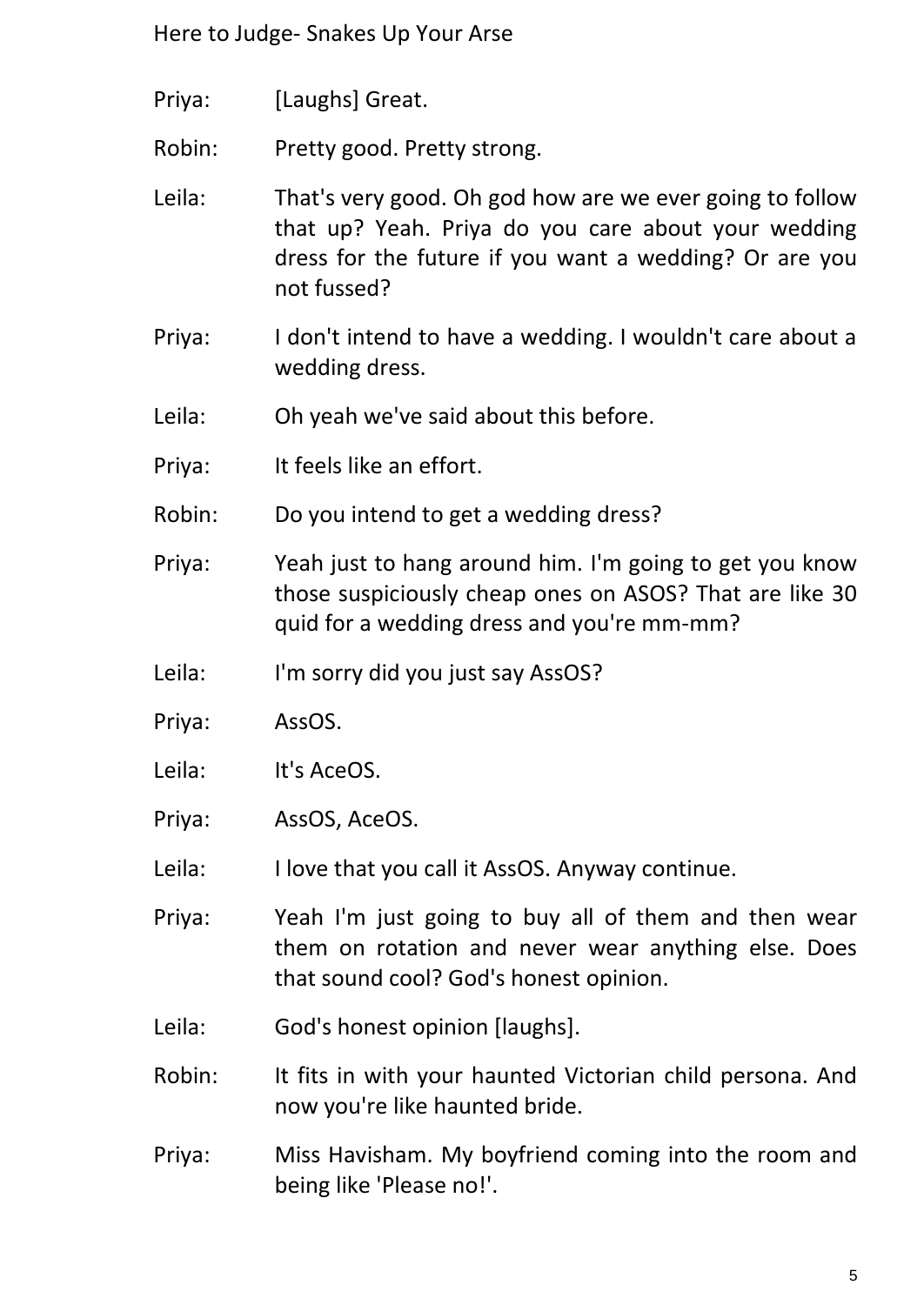- Priya: [Laughs] Great.
- Robin: Pretty good. Pretty strong.
- Leila: That's very good. Oh god how are we ever going to follow that up? Yeah. Priya do you care about your wedding dress for the future if you want a wedding? Or are you not fussed?
- Priya: I don't intend to have a wedding. I wouldn't care about a wedding dress.
- Leila: Oh yeah we've said about this before.
- Priya: It feels like an effort.
- Robin: Do you intend to get a wedding dress?
- Priya: Yeah just to hang around him. I'm going to get you know those suspiciously cheap ones on ASOS? That are like 30 quid for a wedding dress and you're mm-mm?
- Leila: I'm sorry did you just say AssOS?
- Priya: AssOS.
- Leila: It's AceOS.
- Priya: AssOS, AceOS.
- Leila: I love that you call it AssOS. Anyway continue.
- Priya: Yeah I'm just going to buy all of them and then wear them on rotation and never wear anything else. Does that sound cool? God's honest opinion.
- Leila: God's honest opinion [laughs].
- Robin: It fits in with your haunted Victorian child persona. And now you're like haunted bride.
- Priya: Miss Havisham. My boyfriend coming into the room and being like 'Please no!'.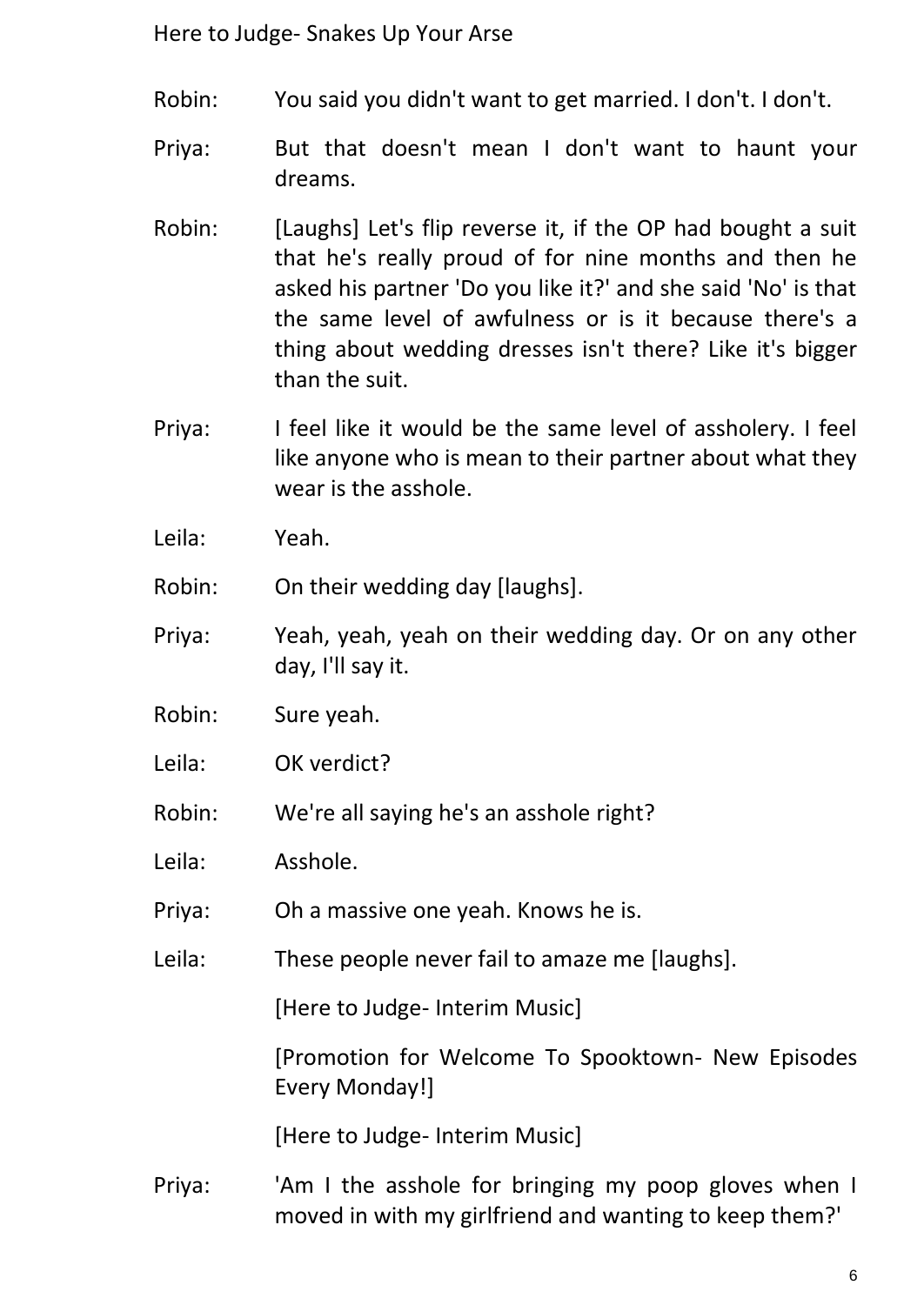- Robin: You said you didn't want to get married. I don't. I don't.
- Priya: But that doesn't mean I don't want to haunt your dreams.
- Robin: [Laughs] Let's flip reverse it, if the OP had bought a suit that he's really proud of for nine months and then he asked his partner 'Do you like it?' and she said 'No' is that the same level of awfulness or is it because there's a thing about wedding dresses isn't there? Like it's bigger than the suit.
- Priya: I feel like it would be the same level of assholery. I feel like anyone who is mean to their partner about what they wear is the asshole.
- Leila: Yeah.

Robin: On their wedding day [laughs].

- Priya: Yeah, yeah, yeah on their wedding day. Or on any other day, I'll say it.
- Robin: Sure yeah.
- Leila: OK verdict?
- Robin: We're all saying he's an asshole right?
- Leila: Asshole.
- Priya: Oh a massive one yeah. Knows he is.
- Leila: These people never fail to amaze me [laughs].

[Here to Judge- Interim Music]

[Promotion for Welcome To Spooktown- New Episodes Every Monday!]

[Here to Judge- Interim Music]

Priya: 'Am I the asshole for bringing my poop gloves when I moved in with my girlfriend and wanting to keep them?'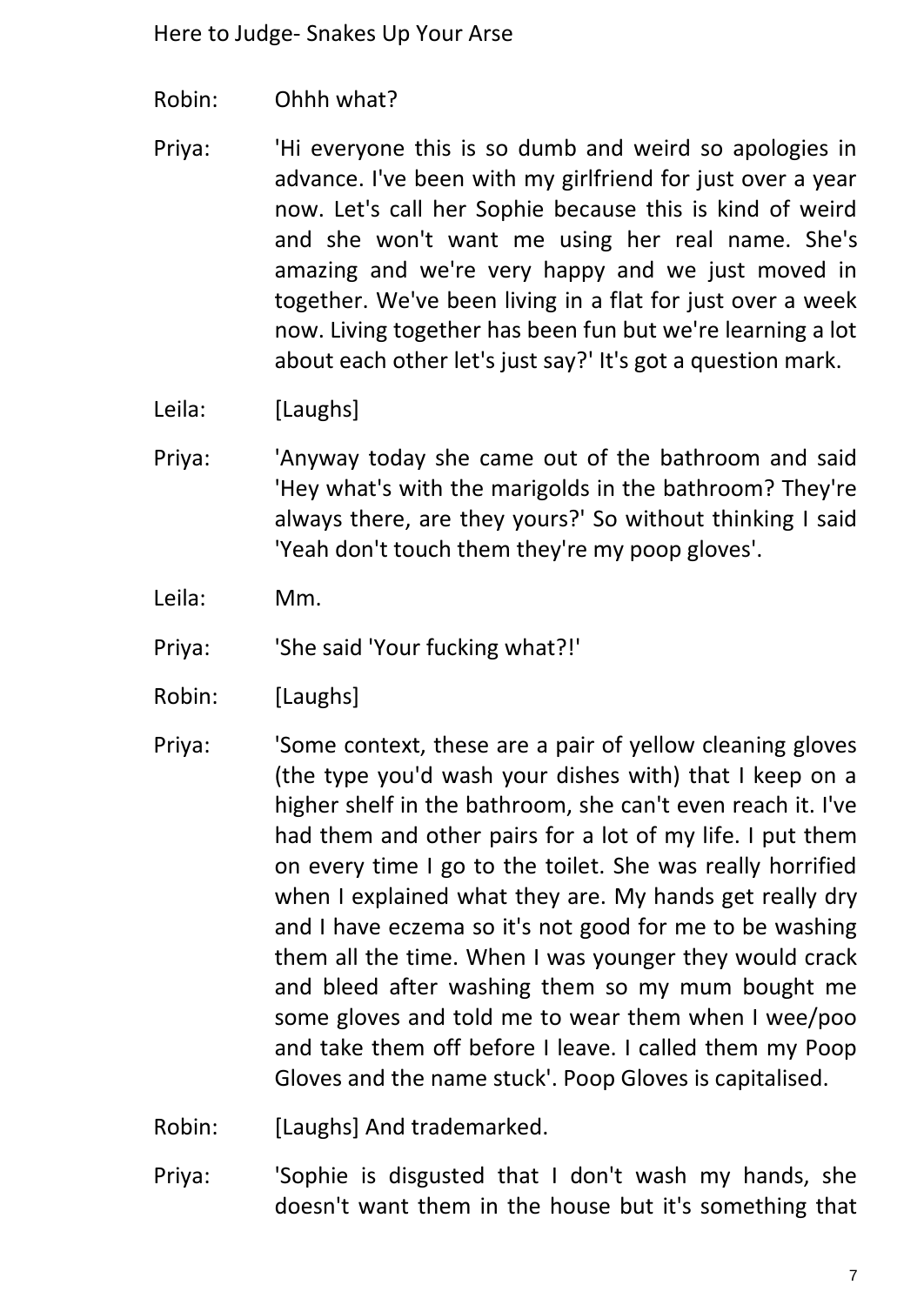Robin: Ohhh what?

Priya: 'Hi everyone this is so dumb and weird so apologies in advance. I've been with my girlfriend for just over a year now. Let's call her Sophie because this is kind of weird and she won't want me using her real name. She's amazing and we're very happy and we just moved in together. We've been living in a flat for just over a week now. Living together has been fun but we're learning a lot about each other let's just say?' It's got a question mark.

Leila: [Laughs]

- Priya: 'Anyway today she came out of the bathroom and said 'Hey what's with the marigolds in the bathroom? They're always there, are they yours?' So without thinking I said 'Yeah don't touch them they're my poop gloves'.
- Leila: Mm.
- Priya: 'She said 'Your fucking what?!'
- Robin: [Laughs]
- Priya: 'Some context, these are a pair of yellow cleaning gloves (the type you'd wash your dishes with) that I keep on a higher shelf in the bathroom, she can't even reach it. I've had them and other pairs for a lot of my life. I put them on every time I go to the toilet. She was really horrified when I explained what they are. My hands get really dry and I have eczema so it's not good for me to be washing them all the time. When I was younger they would crack and bleed after washing them so my mum bought me some gloves and told me to wear them when I wee/poo and take them off before I leave. I called them my Poop Gloves and the name stuck'. Poop Gloves is capitalised.
- Robin: [Laughs] And trademarked.
- Priya: 'Sophie is disgusted that I don't wash my hands, she doesn't want them in the house but it's something that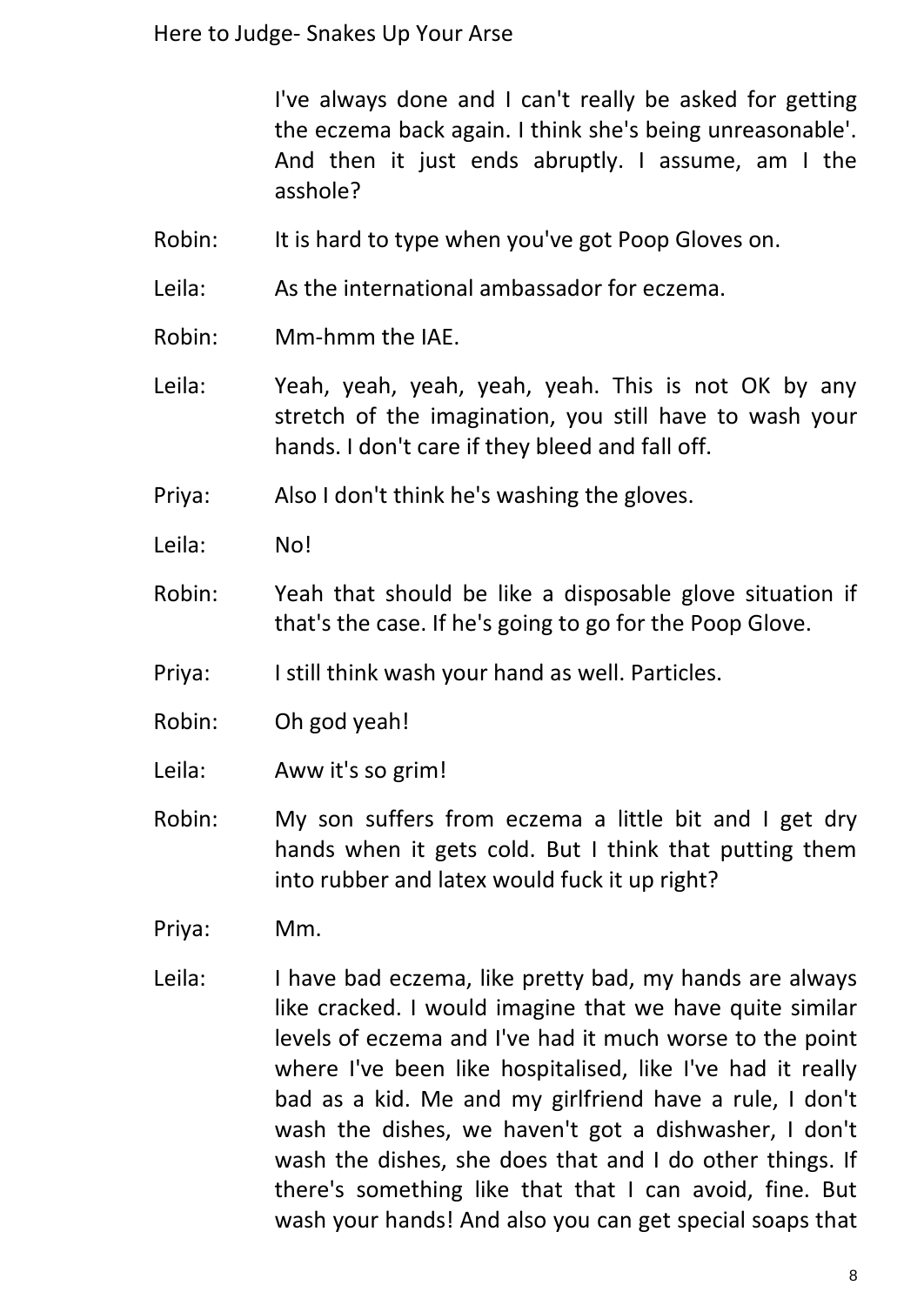I've always done and I can't really be asked for getting the eczema back again. I think she's being unreasonable'. And then it just ends abruptly. I assume, am I the asshole?

- Robin: It is hard to type when you've got Poop Gloves on.
- Leila: As the international ambassador for eczema.
- Robin: Mm-hmm the IAE.
- Leila: Yeah, yeah, yeah, yeah, yeah. This is not OK by any stretch of the imagination, you still have to wash your hands. I don't care if they bleed and fall off.
- Priya: Also I don't think he's washing the gloves.
- Leila: No!
- Robin: Yeah that should be like a disposable glove situation if that's the case. If he's going to go for the Poop Glove.
- Priya: I still think wash your hand as well. Particles.
- Robin: Oh god yeah!
- Leila: Aww it's so grim!
- Robin: My son suffers from eczema a little bit and I get dry hands when it gets cold. But I think that putting them into rubber and latex would fuck it up right?
- Priya: Mm.
- Leila: I have bad eczema, like pretty bad, my hands are always like cracked. I would imagine that we have quite similar levels of eczema and I've had it much worse to the point where I've been like hospitalised, like I've had it really bad as a kid. Me and my girlfriend have a rule, I don't wash the dishes, we haven't got a dishwasher, I don't wash the dishes, she does that and I do other things. If there's something like that that I can avoid, fine. But wash your hands! And also you can get special soaps that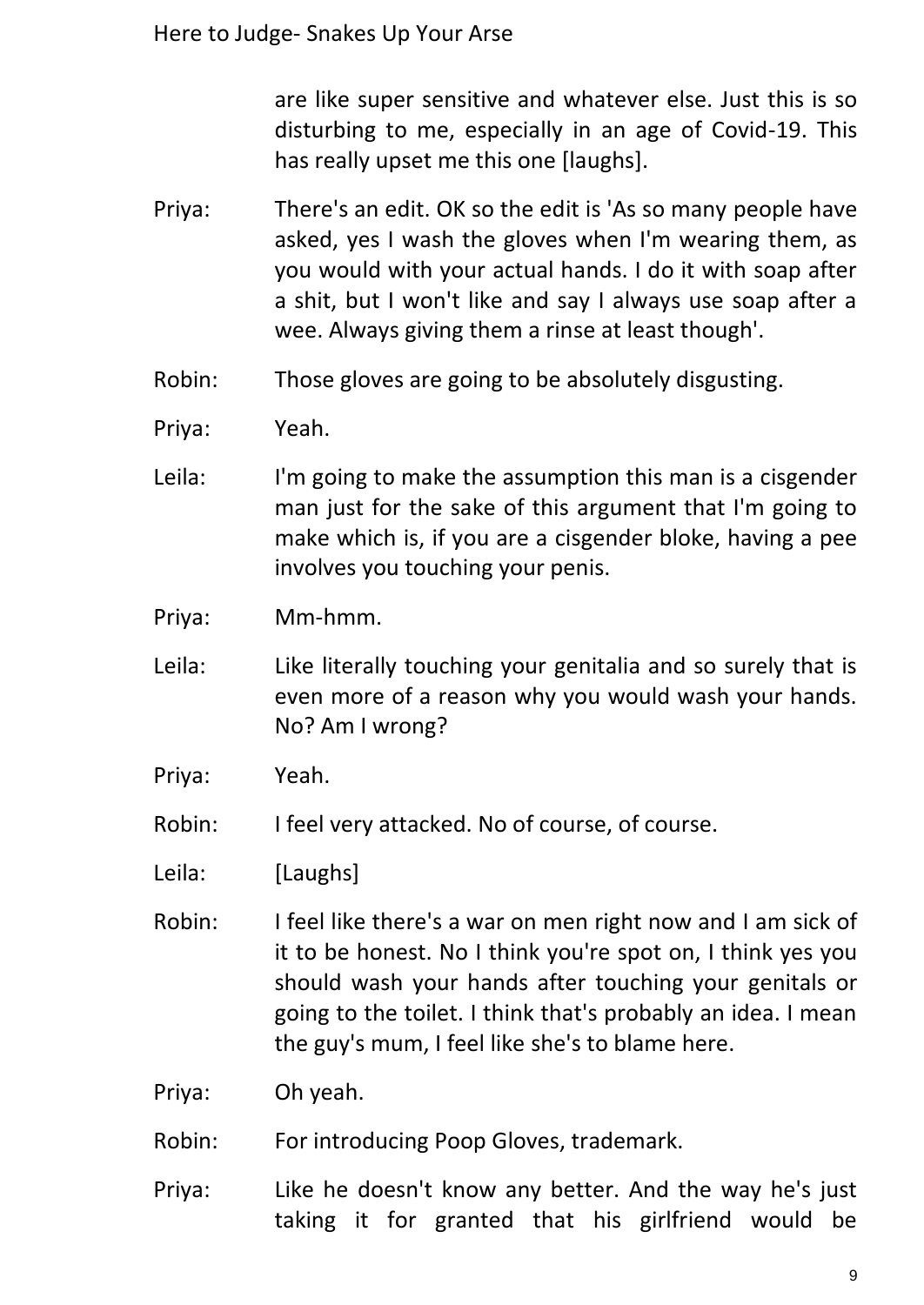are like super sensitive and whatever else. Just this is so disturbing to me, especially in an age of Covid-19. This has really upset me this one [laughs].

- Priya: There's an edit. OK so the edit is 'As so many people have asked, yes I wash the gloves when I'm wearing them, as you would with your actual hands. I do it with soap after a shit, but I won't like and say I always use soap after a wee. Always giving them a rinse at least though'.
- Robin: Those gloves are going to be absolutely disgusting.
- Priya: Yeah.
- Leila: I'm going to make the assumption this man is a cisgender man just for the sake of this argument that I'm going to make which is, if you are a cisgender bloke, having a pee involves you touching your penis.
- Priya: Mm-hmm.
- Leila: Like literally touching your genitalia and so surely that is even more of a reason why you would wash your hands. No? Am I wrong?
- Priya: Yeah.
- Robin: I feel very attacked. No of course, of course.
- Leila: [Laughs]
- Robin: I feel like there's a war on men right now and I am sick of it to be honest. No I think you're spot on, I think yes you should wash your hands after touching your genitals or going to the toilet. I think that's probably an idea. I mean the guy's mum, I feel like she's to blame here.
- Priya: Oh yeah.
- Robin: For introducing Poop Gloves, trademark.
- Priya: Like he doesn't know any better. And the way he's just taking it for granted that his girlfriend would be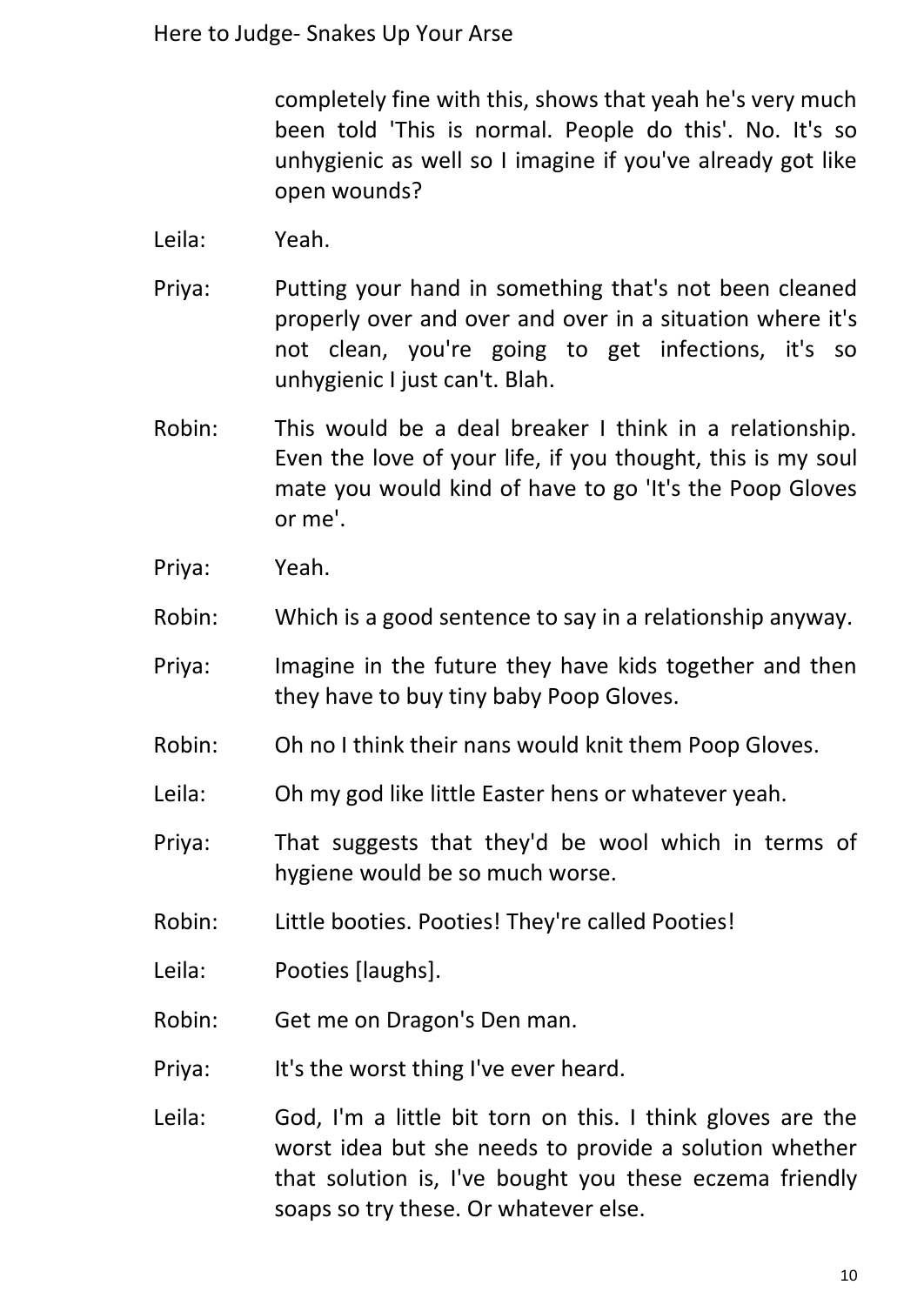completely fine with this, shows that yeah he's very much been told 'This is normal. People do this'. No. It's so unhygienic as well so I imagine if you've already got like open wounds?

- Leila: Yeah.
- Priya: Putting your hand in something that's not been cleaned properly over and over and over in a situation where it's not clean, you're going to get infections, it's so unhygienic I just can't. Blah.
- Robin: This would be a deal breaker I think in a relationship. Even the love of your life, if you thought, this is my soul mate you would kind of have to go 'It's the Poop Gloves or me'.
- Priya: Yeah.
- Robin: Which is a good sentence to say in a relationship anyway.
- Priya: Imagine in the future they have kids together and then they have to buy tiny baby Poop Gloves.
- Robin: Oh no I think their nans would knit them Poop Gloves.
- Leila: Oh my god like little Easter hens or whatever yeah.
- Priya: That suggests that they'd be wool which in terms of hygiene would be so much worse.
- Robin: Little booties. Pooties! They're called Pooties!
- Leila: Pooties [laughs].
- Robin: Get me on Dragon's Den man.
- Priya: It's the worst thing I've ever heard.
- Leila: God, I'm a little bit torn on this. I think gloves are the worst idea but she needs to provide a solution whether that solution is, I've bought you these eczema friendly soaps so try these. Or whatever else.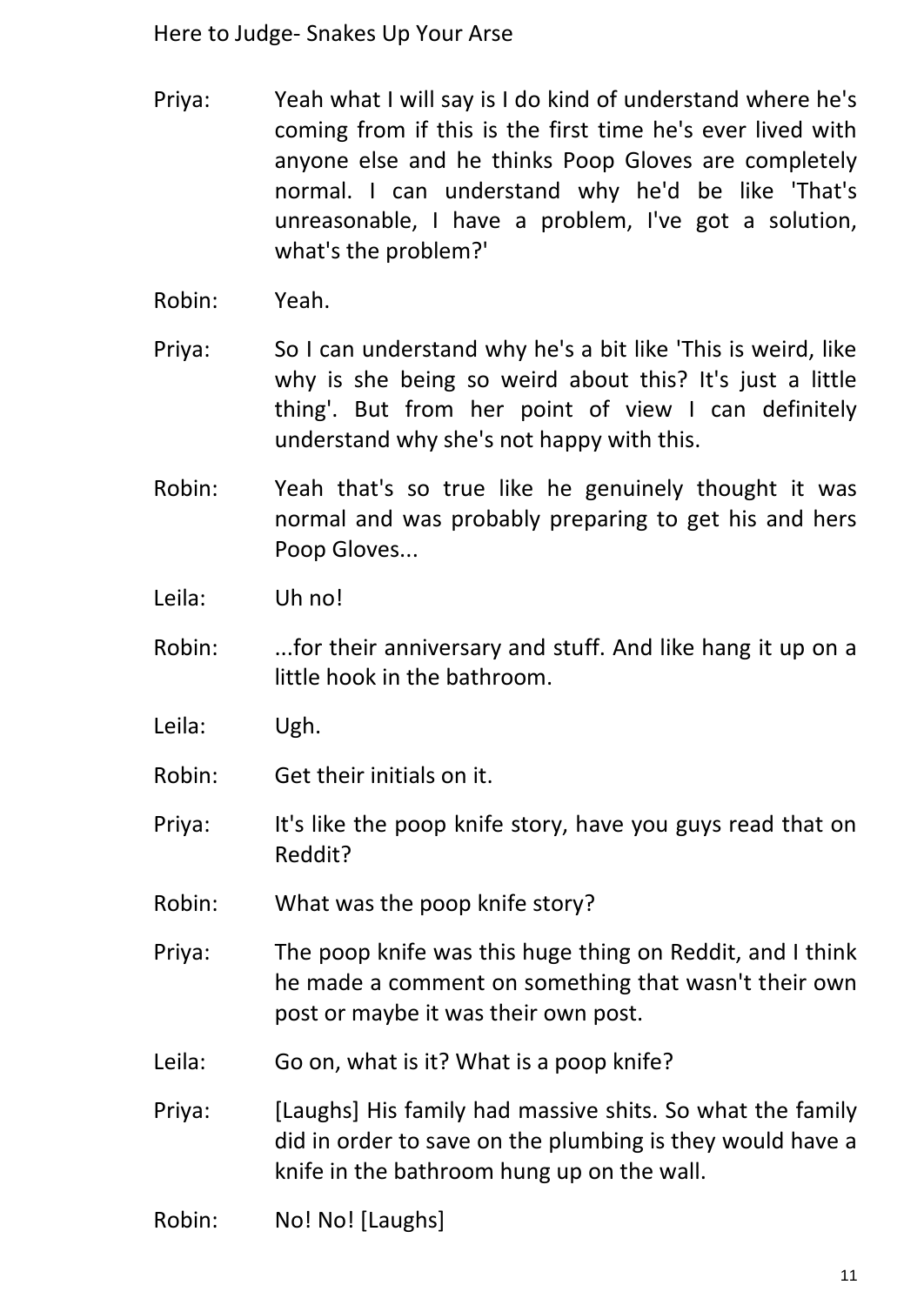- Priya: Yeah what I will say is I do kind of understand where he's coming from if this is the first time he's ever lived with anyone else and he thinks Poop Gloves are completely normal. I can understand why he'd be like 'That's unreasonable, I have a problem, I've got a solution, what's the problem?'
- Robin: Yeah.
- Priya: So I can understand why he's a bit like 'This is weird, like why is she being so weird about this? It's just a little thing'. But from her point of view I can definitely understand why she's not happy with this.
- Robin: Yeah that's so true like he genuinely thought it was normal and was probably preparing to get his and hers Poop Gloves...
- Leila: Uh no!
- Robin: ...for their anniversary and stuff. And like hang it up on a little hook in the bathroom.
- Leila: Ugh.
- Robin: Get their initials on it.
- Priya: It's like the poop knife story, have you guys read that on Reddit?
- Robin: What was the poop knife story?
- Priya: The poop knife was this huge thing on Reddit, and I think he made a comment on something that wasn't their own post or maybe it was their own post.
- Leila: Go on, what is it? What is a poop knife?
- Priya: [Laughs] His family had massive shits. So what the family did in order to save on the plumbing is they would have a knife in the bathroom hung up on the wall.
- Robin: No! No! [Laughs]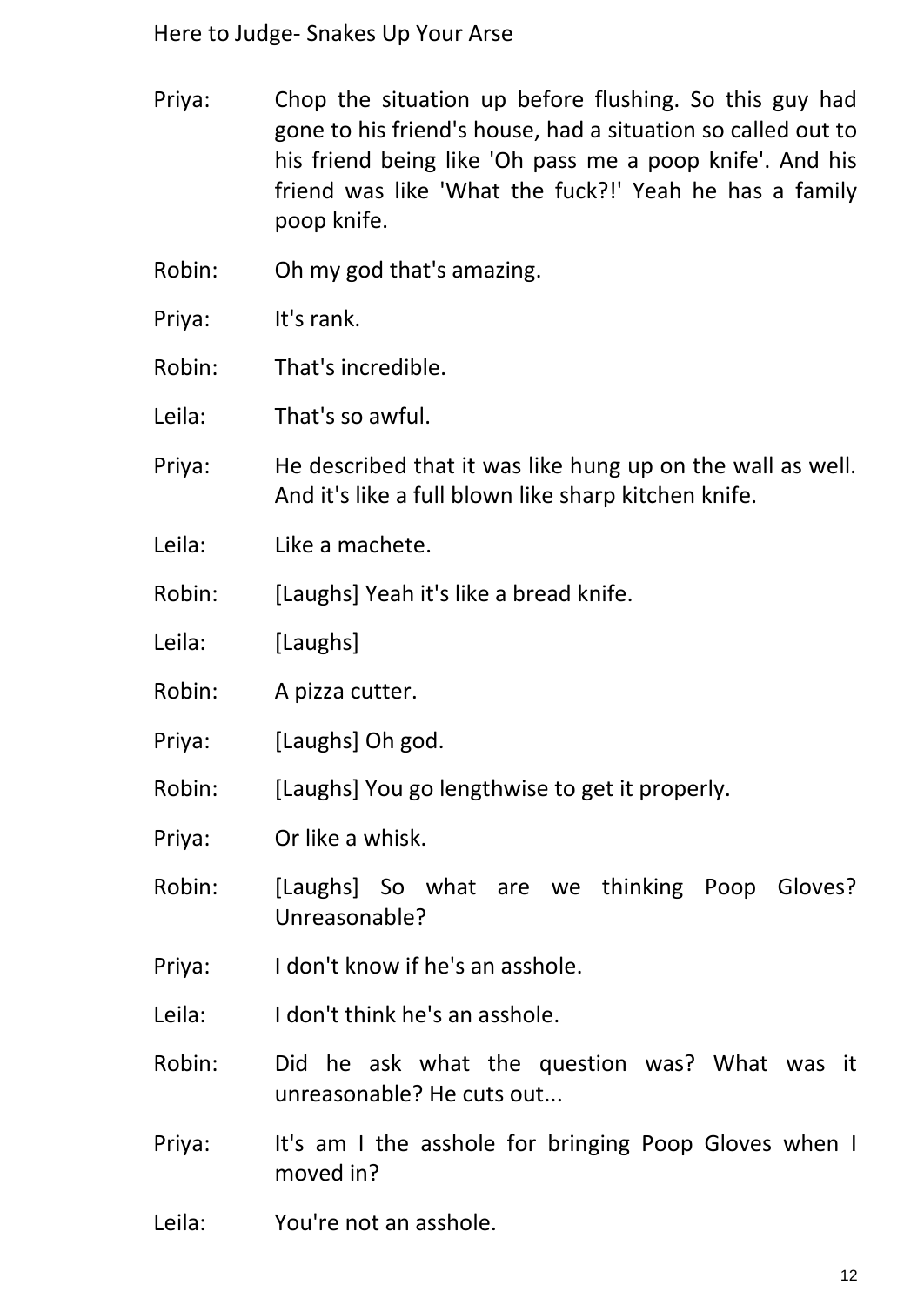- Priya: Chop the situation up before flushing. So this guy had gone to his friend's house, had a situation so called out to his friend being like 'Oh pass me a poop knife'. And his friend was like 'What the fuck?!' Yeah he has a family poop knife.
- Robin: Oh my god that's amazing.
- Priya: It's rank.
- Robin: That's incredible.
- Leila: That's so awful.
- Priya: He described that it was like hung up on the wall as well. And it's like a full blown like sharp kitchen knife.
- Leila: Like a machete.
- Robin: [Laughs] Yeah it's like a bread knife.
- Leila: [Laughs]
- Robin: A pizza cutter.
- Priya: [Laughs] Oh god.
- Robin: [Laughs] You go lengthwise to get it properly.
- Priya: Or like a whisk.
- Robin: [Laughs] So what are we thinking Poop Gloves? Unreasonable?
- Priya: I don't know if he's an asshole.
- Leila: I don't think he's an asshole.
- Robin: Did he ask what the question was? What was it unreasonable? He cuts out...
- Priya: It's am I the asshole for bringing Poop Gloves when I moved in?
- Leila: You're not an asshole.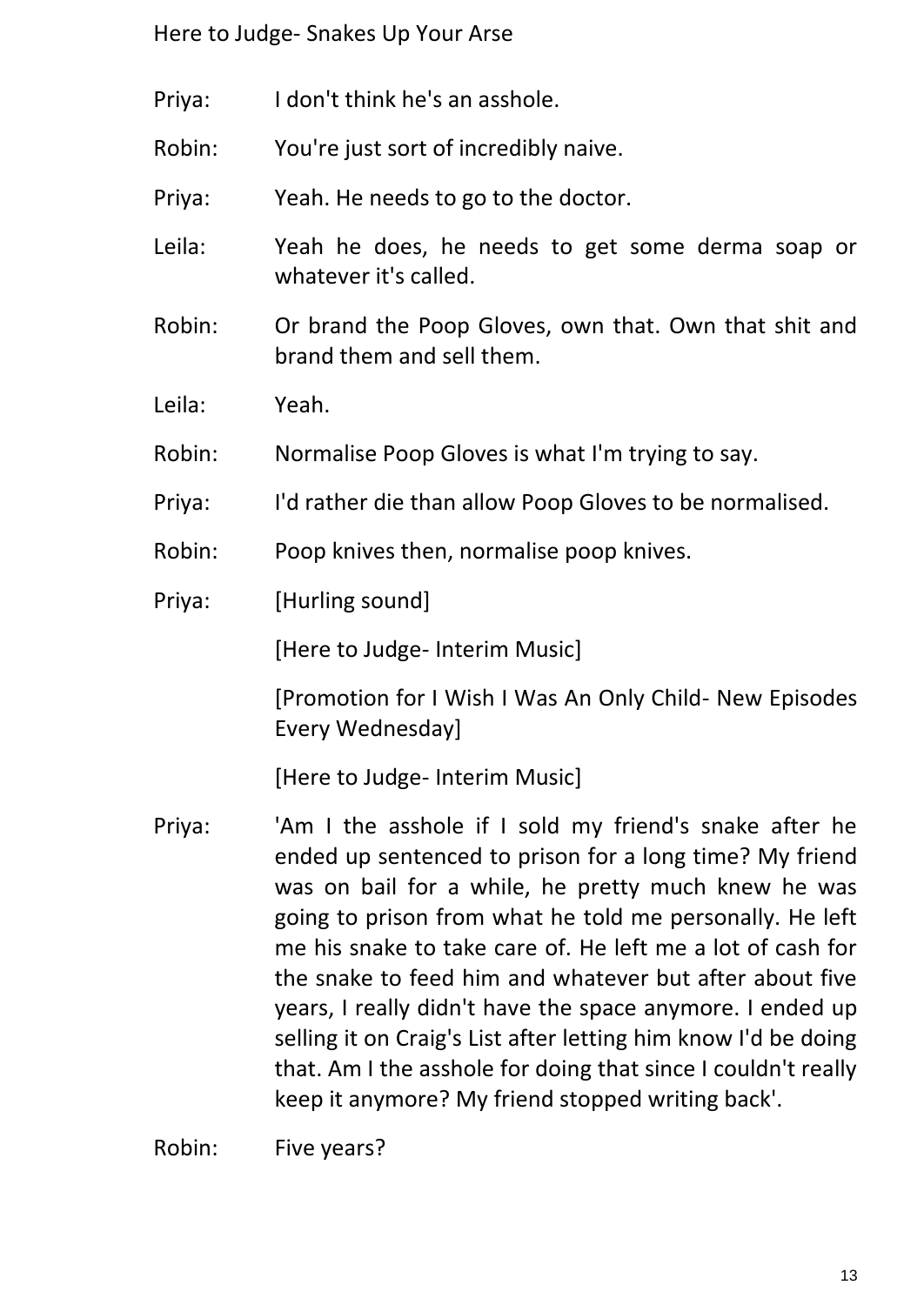- Priya: I don't think he's an asshole.
- Robin: You're just sort of incredibly naive.
- Priya: Yeah. He needs to go to the doctor.
- Leila: Yeah he does, he needs to get some derma soap or whatever it's called.
- Robin: Or brand the Poop Gloves, own that. Own that shit and brand them and sell them.
- Leila: Yeah.
- Robin: Normalise Poop Gloves is what I'm trying to say.
- Priya: I'd rather die than allow Poop Gloves to be normalised.
- Robin: Poop knives then, normalise poop knives.
- Priya: [Hurling sound]

[Here to Judge- Interim Music]

[Promotion for I Wish I Was An Only Child- New Episodes Every Wednesday]

[Here to Judge- Interim Music]

Priya: 'Am I the asshole if I sold my friend's snake after he ended up sentenced to prison for a long time? My friend was on bail for a while, he pretty much knew he was going to prison from what he told me personally. He left me his snake to take care of. He left me a lot of cash for the snake to feed him and whatever but after about five years, I really didn't have the space anymore. I ended up selling it on Craig's List after letting him know I'd be doing that. Am I the asshole for doing that since I couldn't really keep it anymore? My friend stopped writing back'.

Robin: Five years?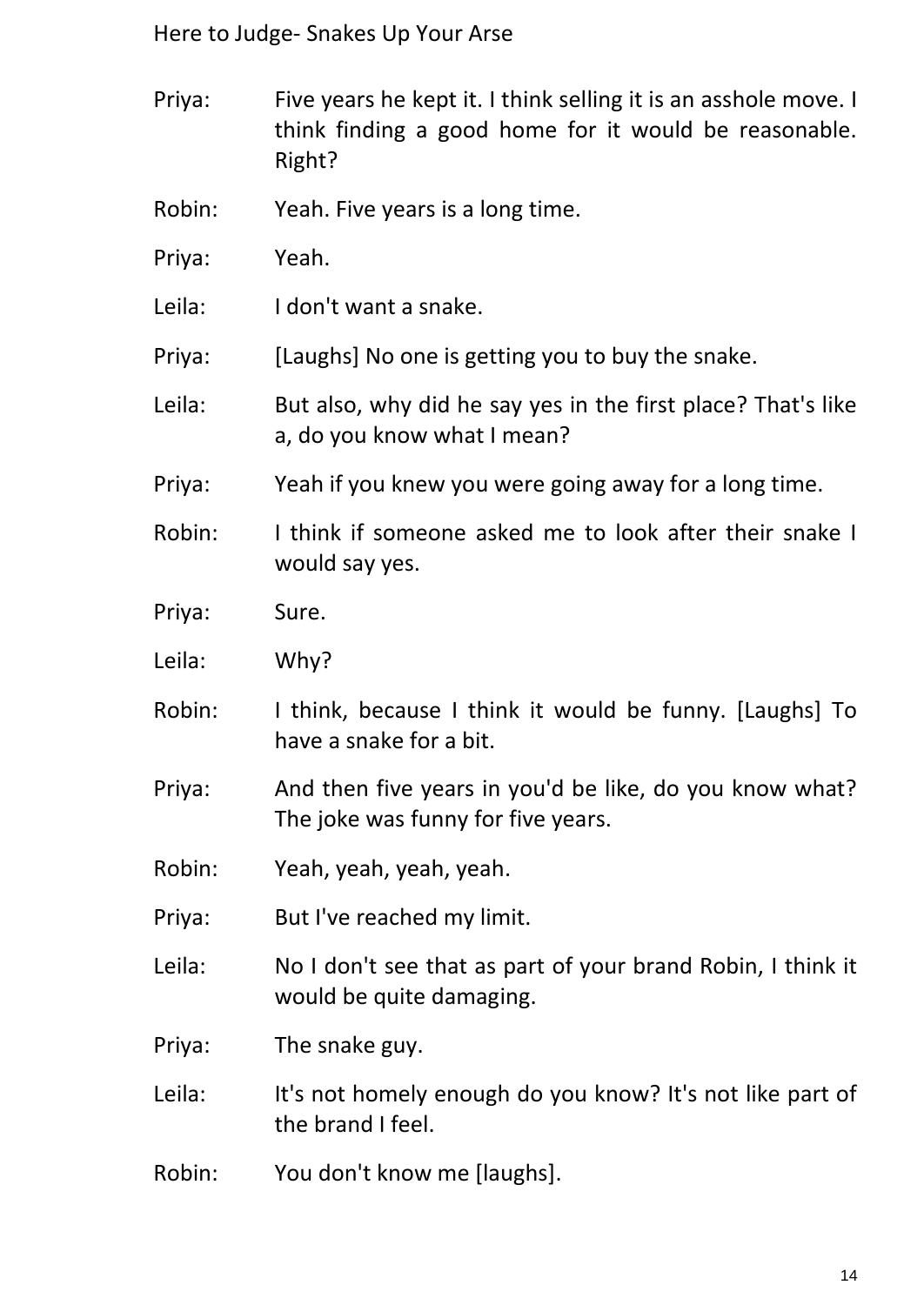- Priya: Five years he kept it. I think selling it is an asshole move. I think finding a good home for it would be reasonable. Right?
- Robin: Yeah. Five years is a long time.
- Priya: Yeah.
- Leila: I don't want a snake.
- Priya: [Laughs] No one is getting you to buy the snake.
- Leila: But also, why did he say yes in the first place? That's like a, do you know what I mean?
- Priya: Yeah if you knew you were going away for a long time.
- Robin: I think if someone asked me to look after their snake I would say yes.
- Priya: Sure.
- Leila: Why?
- Robin: I think, because I think it would be funny. [Laughs] To have a snake for a bit.
- Priya: And then five years in you'd be like, do you know what? The joke was funny for five years.
- Robin: Yeah, yeah, yeah, yeah.
- Priya: But I've reached my limit.
- Leila: No I don't see that as part of your brand Robin, I think it would be quite damaging.

Priya: The snake guy.

- Leila: It's not homely enough do you know? It's not like part of the brand I feel.
- Robin: You don't know me [laughs].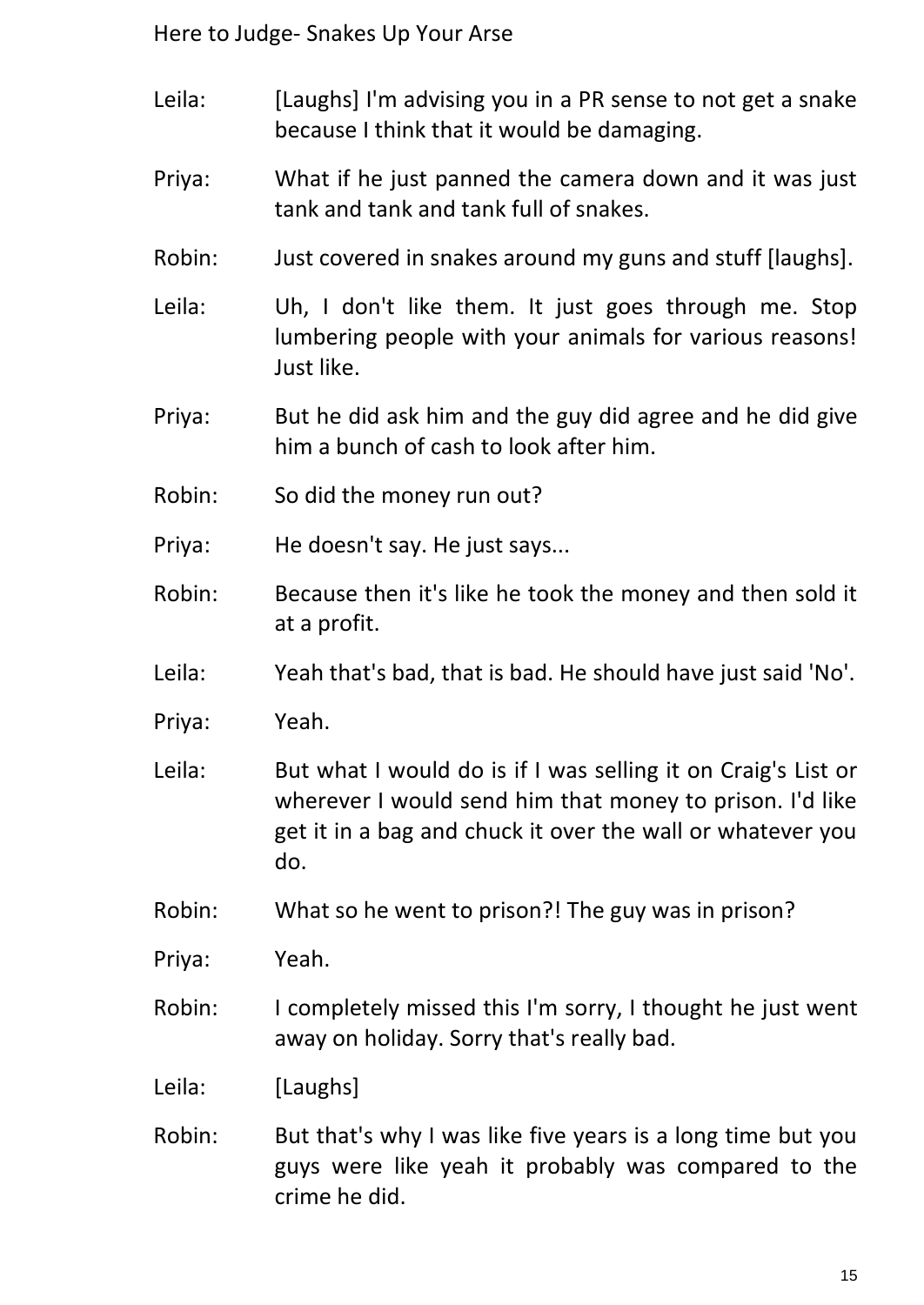- Leila: [Laughs] I'm advising you in a PR sense to not get a snake because I think that it would be damaging.
- Priya: What if he just panned the camera down and it was just tank and tank and tank full of snakes.
- Robin: Just covered in snakes around my guns and stuff [laughs].
- Leila: Uh, I don't like them. It just goes through me. Stop lumbering people with your animals for various reasons! Just like.
- Priya: But he did ask him and the guy did agree and he did give him a bunch of cash to look after him.
- Robin: So did the money run out?
- Priya: He doesn't say. He just says...
- Robin: Because then it's like he took the money and then sold it at a profit.
- Leila: Yeah that's bad, that is bad. He should have just said 'No'.
- Priya: Yeah.
- Leila: But what I would do is if I was selling it on Craig's List or wherever I would send him that money to prison. I'd like get it in a bag and chuck it over the wall or whatever you do.
- Robin: What so he went to prison?! The guy was in prison?
- Priya: Yeah.
- Robin: I completely missed this I'm sorry, I thought he just went away on holiday. Sorry that's really bad.
- Leila: [Laughs]
- Robin: But that's why I was like five years is a long time but you guys were like yeah it probably was compared to the crime he did.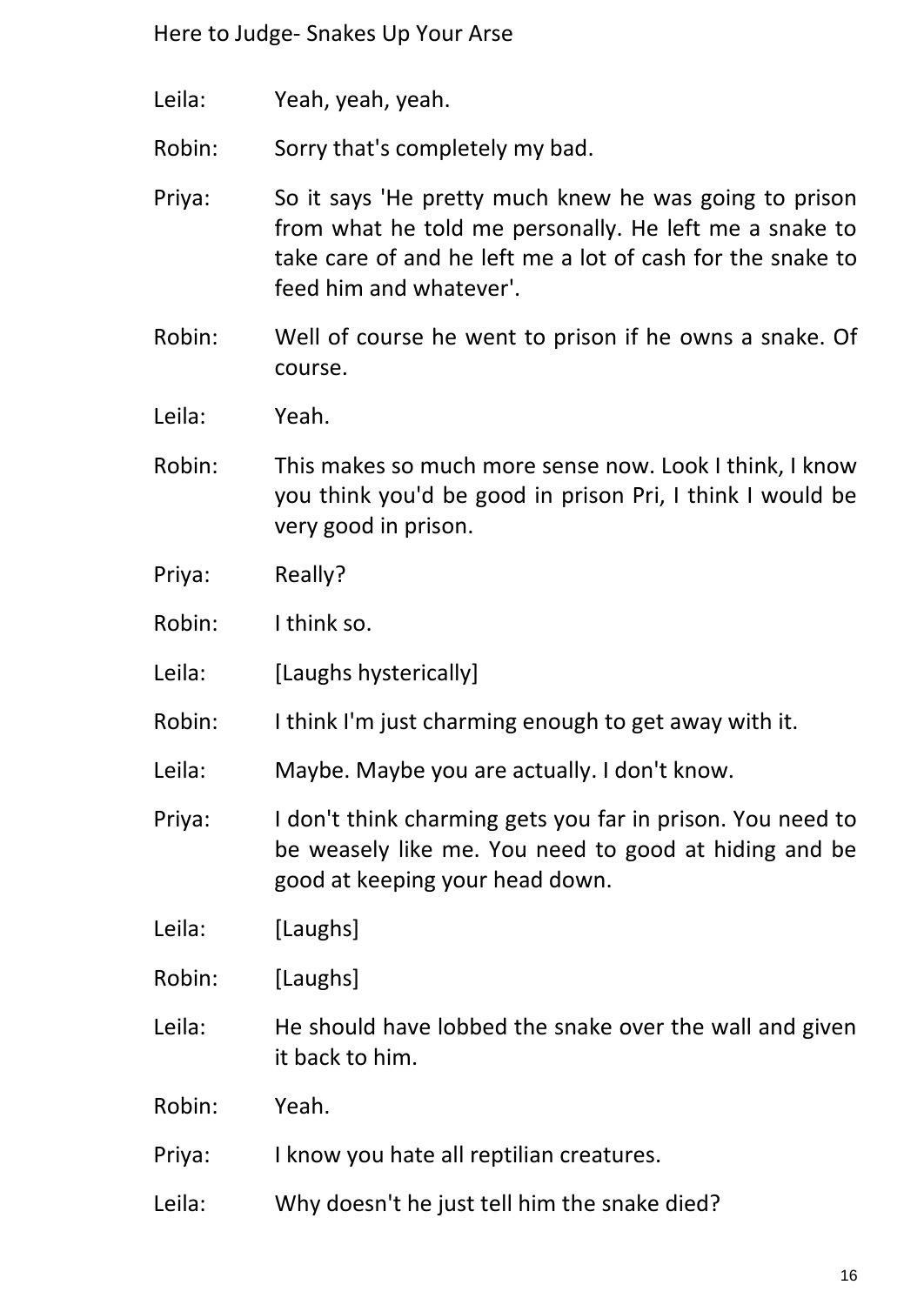Leila: Yeah, yeah, yeah.

Robin: Sorry that's completely my bad.

- Priya: So it says 'He pretty much knew he was going to prison from what he told me personally. He left me a snake to take care of and he left me a lot of cash for the snake to feed him and whatever'.
- Robin: Well of course he went to prison if he owns a snake. Of course.
- Leila: Yeah.
- Robin: This makes so much more sense now. Look I think, I know you think you'd be good in prison Pri, I think I would be very good in prison.
- Priya: Really?
- Robin: I think so.
- Leila: [Laughs hysterically]
- Robin: I think I'm just charming enough to get away with it.
- Leila: Maybe. Maybe you are actually. I don't know.
- Priya: I don't think charming gets you far in prison. You need to be weasely like me. You need to good at hiding and be good at keeping your head down.
- Leila: [Laughs]
- Robin: [Laughs]
- Leila: He should have lobbed the snake over the wall and given it back to him.
- Robin: Yeah.
- Priya: I know you hate all reptilian creatures.
- Leila: Why doesn't he just tell him the snake died?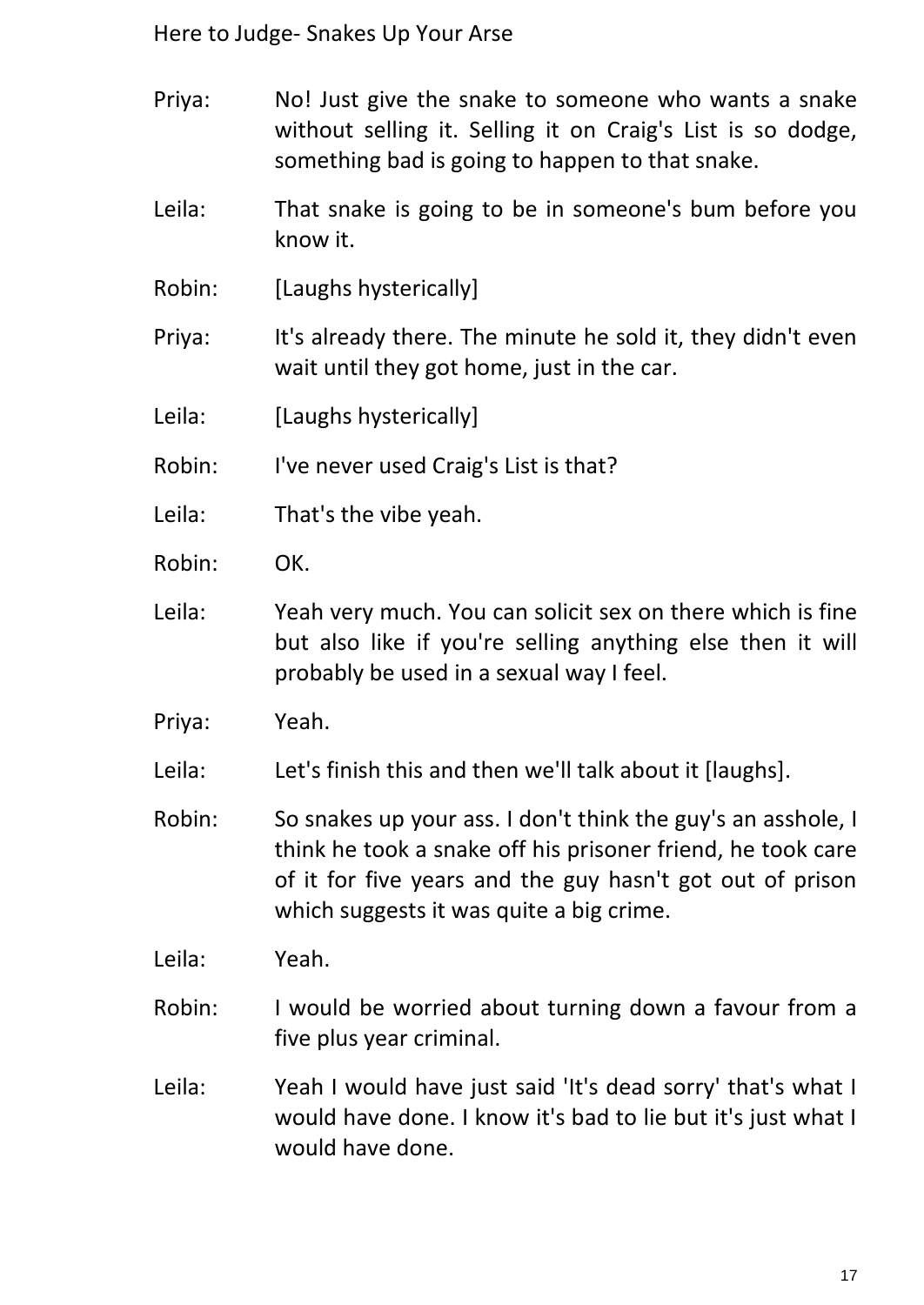- Priya: No! Just give the snake to someone who wants a snake without selling it. Selling it on Craig's List is so dodge, something bad is going to happen to that snake.
- Leila: That snake is going to be in someone's bum before you know it.
- Robin: [Laughs hysterically]
- Priya: It's already there. The minute he sold it, they didn't even wait until they got home, just in the car.
- Leila: [Laughs hysterically]
- Robin: I've never used Craig's List is that?
- Leila: That's the vibe yeah.
- Robin: OK.
- Leila: Yeah very much. You can solicit sex on there which is fine but also like if you're selling anything else then it will probably be used in a sexual way I feel.
- Priya: Yeah.
- Leila: Let's finish this and then we'll talk about it [laughs].
- Robin: So snakes up your ass. I don't think the guy's an asshole, I think he took a snake off his prisoner friend, he took care of it for five years and the guy hasn't got out of prison which suggests it was quite a big crime.
- Leila: Yeah.
- Robin: I would be worried about turning down a favour from a five plus year criminal.
- Leila: Yeah I would have just said 'It's dead sorry' that's what I would have done. I know it's bad to lie but it's just what I would have done.